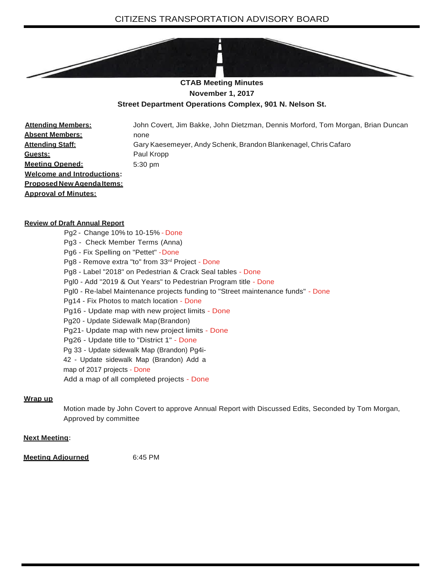

**November 1, 2017**

## **Street Department Operations Complex, 901 N. Nelson St.**

**Attending Members: Absent Members: Attending Staff: Guests: Meeting Opened: Welcome and Introductions: ProposedNewAgendaItems: Approval of Minutes:** John Covert, Jim Bakke, John Dietzman, Dennis Morford, Tom Morgan, Brian Duncan none Gary Kaesemeyer, Andy Schenk, Brandon Blankenagel, Chris Cafaro Paul Kropp 5:30 pm

## **Review of Draft Annual Report**

- Pg2 Change 10% to 10-15% Done
- Pg3 Check Member Terms (Anna)
- Pg6 Fix Spelling on "Pettet" -Done
- Pg8 Remove extra "to" from 33rd Project Done
- Pg8 Label "2018" on Pedestrian & Crack Seal tables Done
- Pgl0 Add "2019 & Out Years" to Pedestrian Program title Done
- Pgl0 Re-label Maintenance projects funding to "Street maintenance funds" Done
- Pg14 Fix Photos to match location Done
- Pg16 Update map with new project limits Done
- Pg20 Update Sidewalk Map(Brandon)
- Pg21- Update map with new project limits Done
- Pg26 Update title to "District 1" Done
- Pg 33 Update sidewalk Map (Brandon) Pg4i-
- 42 Update sidewalk Map (Brandon) Add a
- map of 2017 projects Done
- Add a map of all completed projects Done

## **Wrap up**

Motion made by John Covert to approve Annual Report with Discussed Edits, Seconded by Tom Morgan, Approved by committee

## **Next Meeting:**

**Meeting Adjourned** 6:45 PM